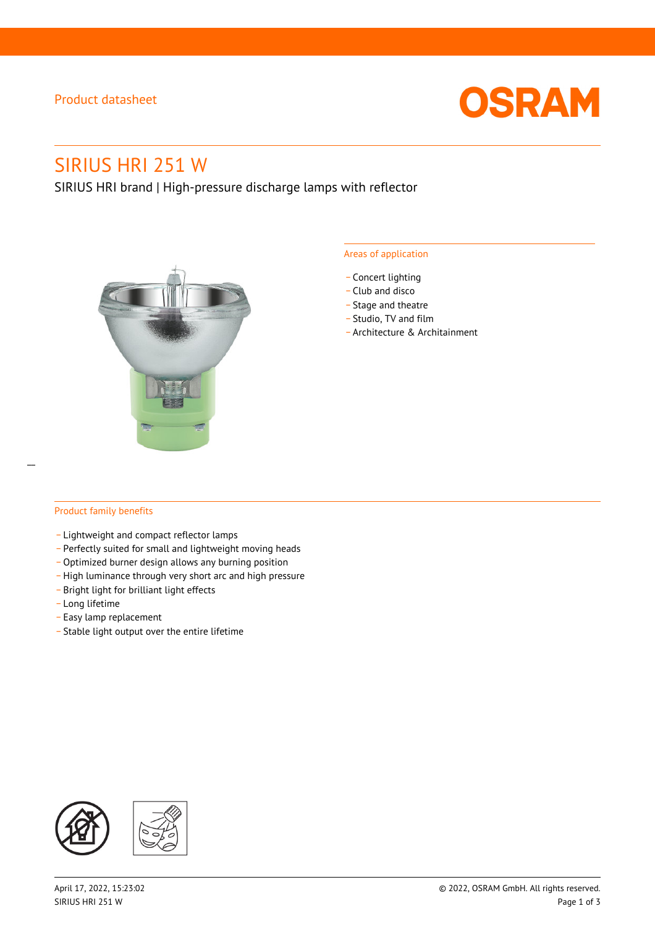### Product datasheet



# SIRIUS HRI 251 W

SIRIUS HRI brand | High-pressure discharge lamps with reflector



#### Areas of application

- Concert lighting
- \_ Club and disco
- Stage and theatre
- \_ Studio, TV and film
- \_ Architecture & Architainment

### Product family benefits

- \_ Lightweight and compact reflector lamps
- \_ Perfectly suited for small and lightweight moving heads
- Optimized burner design allows any burning position
- High luminance through very short arc and high pressure
- \_ Bright light for brilliant light effects
- \_ Long lifetime
- \_ Easy lamp replacement
- \_ Stable light output over the entire lifetime

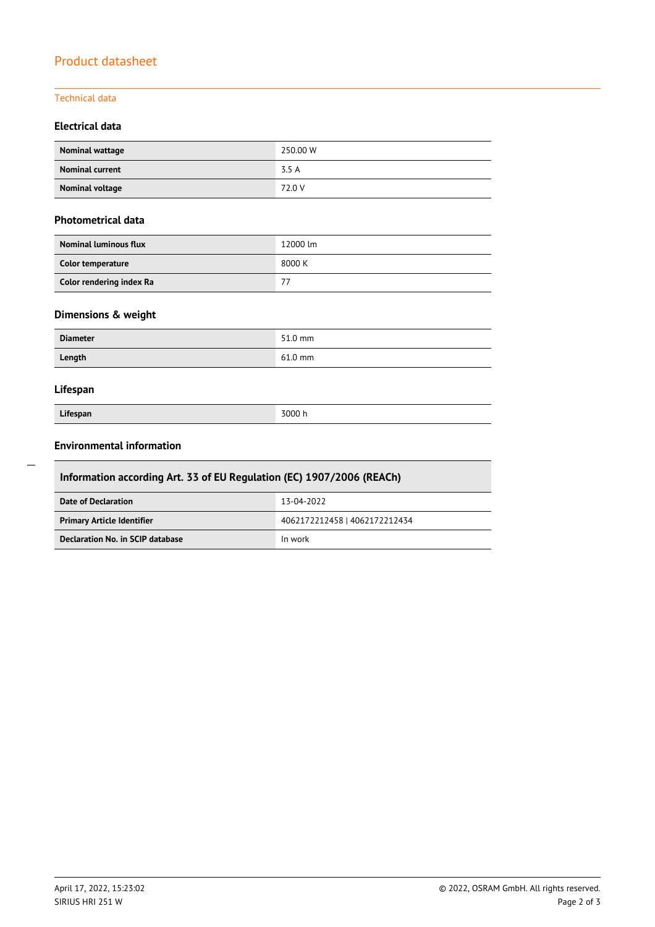## Product datasheet

### Technical data

### **Electrical data**

| Nominal wattage        | 250.00 W |
|------------------------|----------|
| <b>Nominal current</b> | 3.5 A    |
| Nominal voltage        | 72.0 V   |

#### **Photometrical data**

| <b>Nominal luminous flux</b> | 12000 lm |
|------------------------------|----------|
| Color temperature            | 8000 K   |
| Color rendering index Ra     | 77       |

### **Dimensions & weight**

| <b>Diameter</b> | 51.0 mm   |
|-----------------|-----------|
| Length          | $61.0$ mm |

### **Lifespan**

| Lifespan |
|----------|

**Lifespan** 3000 h

### **Environmental information**

| Information according Art. 33 of EU Regulation (EC) 1907/2006 (REACh) |                               |  |  |  |
|-----------------------------------------------------------------------|-------------------------------|--|--|--|
| Date of Declaration                                                   | 13-04-2022                    |  |  |  |
| <b>Primary Article Identifier</b>                                     | 4062172212458   4062172212434 |  |  |  |
| Declaration No. in SCIP database                                      | In work                       |  |  |  |